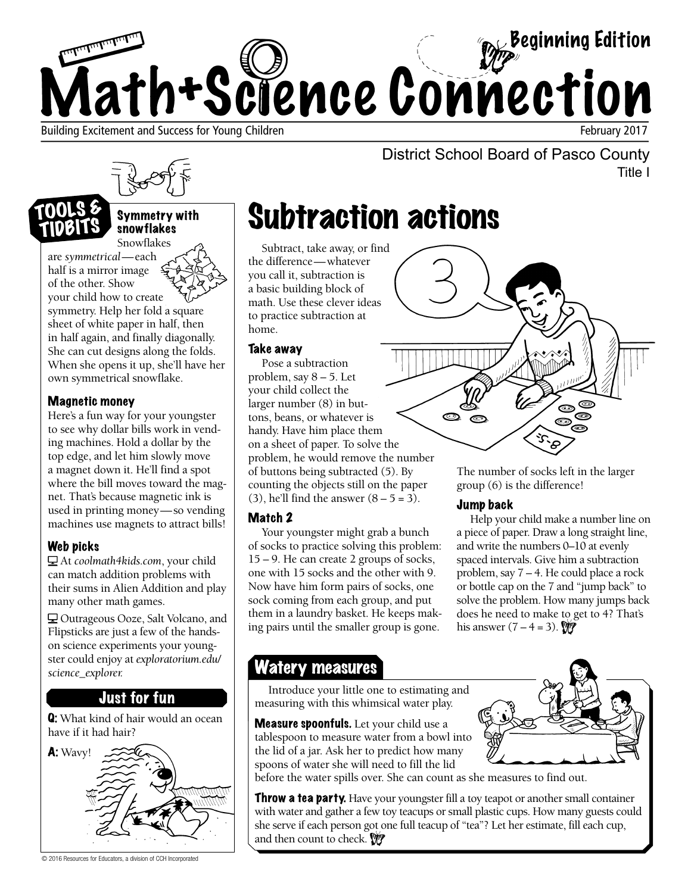

Title I



Symmetry with snowflakes Snowflakes

are *symmetrical*—each half is a mirror image of the other. Show your child how to create symmetry. Help her fold a square sheet of white paper in half, then in half again, and finally diagonally. She can cut designs along the folds. When she opens it up, she'll have her own symmetrical snowflake.

### Magnetic money

TIDBITS

Here's a fun way for your youngster to see why dollar bills work in vending machines. Hold a dollar by the top edge, and let him slowly move a magnet down it. He'll find a spot where the bill moves toward the magnet. That's because magnetic ink is used in printing money—so vending machines use magnets to attract bills!

### Web picks

At *coolmath4kids.com*, your child can match addition problems with their sums in Alien Addition and play many other math games.

Outrageous Ooze, Salt Volcano, and Flipsticks are just a few of the handson science experiments your youngster could enjoy at *exploratorium.edu/ science\_explorer.* 

### Just for fun

Q: What kind of hair would an ocean have if it had hair?



© 2016 Resources for Educators, a division of CCH Incorporated

## Subtraction actions

Subtract, take away, or find the difference—whatever you call it, subtraction is a basic building block of math. Use these clever ideas to practice subtraction at home.

#### Take away

Pose a subtraction problem, say  $8 - 5$ . Let your child collect the larger number (8) in buttons, beans, or whatever is handy. Have him place them on a sheet of paper. To solve the problem, he would remove the number of buttons being subtracted (5). By counting the objects still on the paper  $(3)$ , he'll find the answer  $(8 – 5 = 3)$ .

### Match 2

Your youngster might grab a bunch of socks to practice solving this problem: 15 – 9. He can create 2 groups of socks, one with 15 socks and the other with 9. Now have him form pairs of socks, one sock coming from each group, and put them in a laundry basket. He keeps making pairs until the smaller group is gone.



District School Board of Pasco County

The number of socks left in the larger group (6) is the difference!

### Jump back

Help your child make a number line on a piece of paper. Draw a long straight line, and write the numbers 0–10 at evenly spaced intervals. Give him a subtraction problem, say 7 – 4. He could place a rock or bottle cap on the 7 and "jump back" to solve the problem. How many jumps back does he need to make to get to 4? That's his answer  $(7 - 4 = 3)$ .

### Watery measures

Introduce your little one to estimating and measuring with this whimsical water play.

**Measure spoonfuls.** Let your child use a tablespoon to measure water from a bowl into the lid of a jar. Ask her to predict how many spoons of water she will need to fill the lid



before the water spills over. She can count as she measures to find out.

**Throw a tea party.** Have your youngster fill a toy teapot or another small container with water and gather a few toy teacups or small plastic cups. How many guests could she serve if each person got one full teacup of "tea"? Let her estimate, fill each cup, and then count to check.